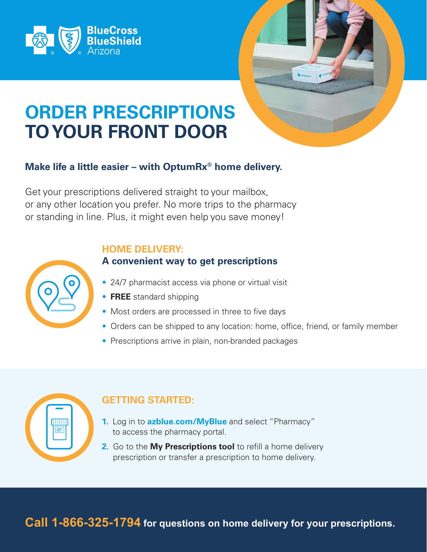



# **ORDER PRESCRIPTIONS TO YOUR FRONT DOOR**

# **Make life a little easier – with OptumRx® home delivery.**

Get your prescriptions delivered straight to your mailbox, or any other location you prefer. No more trips to the pharmacy or standing in line. Plus, it might even help you save money!

#### **HOME DELIVERY:**

### **A convenient way to get prescriptions**

- 24/7 pharmacist access via phone or virtual visit
- **FREE** standard shipping
- Most orders are processed in three to five days
- Orders can be shipped to any location: home, office, friend, or family member
- Prescriptions arrive in plain, non-branded packages



# **GETTING STARTED:**

- **1.** Log in to **azblue.com/MyBlue** and select "Pharmacy" to access the pharmacy portal.
- **2.** Go to the **My Prescriptions tool** to refill a home delivery prescription or transfer a prescription to home delivery.

**Call 1-866-325-1794 for questions on home delivery for your prescriptions.**